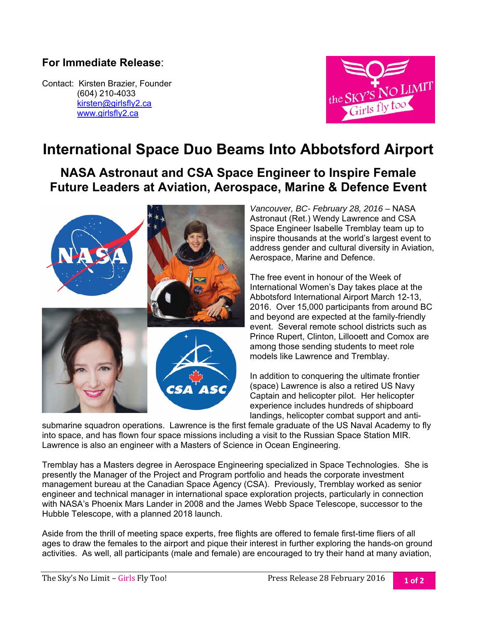## **For Immediate Release**:

Contact: Kirsten Brazier, Founder (604) 210-4033 kirsten@girlsfly2.ca www.girlsfly2.ca



## **International Space Duo Beams Into Abbotsford Airport**

**NASA Astronaut and CSA Space Engineer to Inspire Female Future Leaders at Aviation, Aerospace, Marine & Defence Event** 



*Vancouver, BC- February 28, 2016 –* NASA Astronaut (Ret.) Wendy Lawrence and CSA Space Engineer Isabelle Tremblay team up to inspire thousands at the world's largest event to address gender and cultural diversity in Aviation, Aerospace, Marine and Defence.

The free event in honour of the Week of International Women's Day takes place at the Abbotsford International Airport March 12-13, 2016. Over 15,000 participants from around BC and beyond are expected at the family-friendly event. Several remote school districts such as Prince Rupert, Clinton, Lillooett and Comox are among those sending students to meet role models like Lawrence and Tremblay.

In addition to conquering the ultimate frontier (space) Lawrence is also a retired US Navy Captain and helicopter pilot. Her helicopter experience includes hundreds of shipboard landings, helicopter combat support and anti-

submarine squadron operations. Lawrence is the first female graduate of the US Naval Academy to fly into space, and has flown four space missions including a visit to the Russian Space Station MIR. Lawrence is also an engineer with a Masters of Science in Ocean Engineering.

Tremblay has a Masters degree in Aerospace Engineering specialized in Space Technologies. She is presently the Manager of the Project and Program portfolio and heads the corporate investment management bureau at the Canadian Space Agency (CSA). Previously, Tremblay worked as senior engineer and technical manager in international space exploration projects, particularly in connection with NASA's Phoenix Mars Lander in 2008 and the James Webb Space Telescope, successor to the Hubble Telescope, with a planned 2018 launch.

Aside from the thrill of meeting space experts, free flights are offered to female first-time fliers of all ages to draw the females to the airport and pique their interest in further exploring the hands-on ground activities. As well, all participants (male and female) are encouraged to try their hand at many aviation,